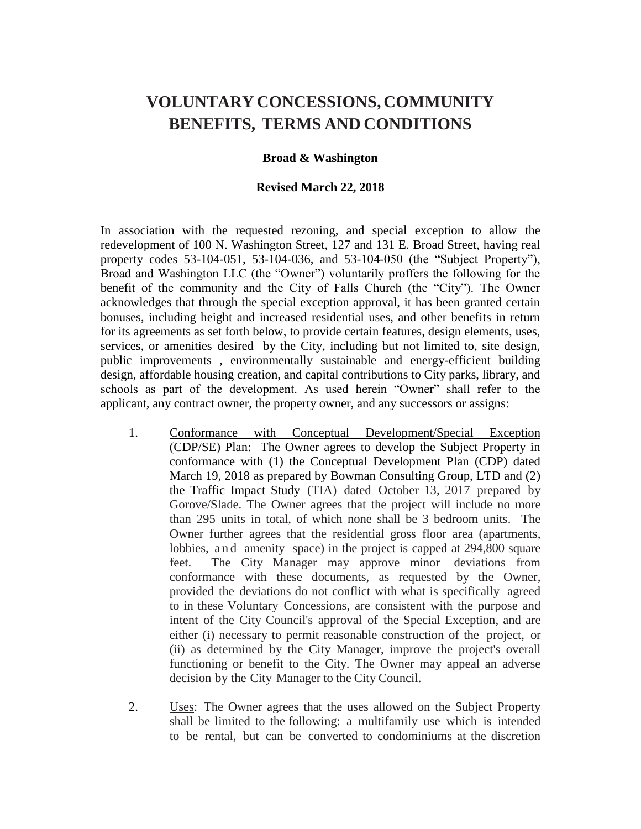# **VOLUNTARY CONCESSIONS, COMMUNITY BENEFITS, TERMS AND CONDITIONS**

#### **Broad & Washington**

#### **Revised March 22, 2018**

In association with the requested rezoning, and special exception to allow the redevelopment of 100 N. Washington Street, 127 and 131 E. Broad Street, having real property codes 53-104-051, 53-104-036, and 53-104-050 (the "Subject Property"), Broad and Washington LLC (the "Owner") voluntarily proffers the following for the benefit of the community and the City of Falls Church (the "City"). The Owner acknowledges that through the special exception approval, it has been granted certain bonuses, including height and increased residential uses, and other benefits in return for its agreements as set forth below, to provide certain features, design elements, uses, services, or amenities desired by the City, including but not limited to, site design, public improvements , environmentally sustainable and energy-efficient building design, affordable housing creation, and capital contributions to City parks, library, and schools as part of the development. As used herein "Owner" shall refer to the applicant, any contract owner, the property owner, and any successors or assigns:

- 1. Conformance with Conceptual Development/Special Exception (CDP/SE) Plan: The Owner agrees to develop the Subject Property in conformance with (1) the Conceptual Development Plan (CDP) dated March 19, 2018 as prepared by Bowman Consulting Group, LTD and (2) the Traffic Impact Study (TIA) dated October 13, 2017 prepared by Gorove/Slade. The Owner agrees that the project will include no more than 295 units in total, of which none shall be 3 bedroom units. The Owner further agrees that the residential gross floor area (apartments, lobbies, and amenity space) in the project is capped at 294,800 square feet. The City Manager may approve minor deviations from conformance with these documents, as requested by the Owner, provided the deviations do not conflict with what is specifically agreed to in these Voluntary Concessions, are consistent with the purpose and intent of the City Council's approval of the Special Exception, and are either (i) necessary to permit reasonable construction of the project, or (ii) as determined by the City Manager, improve the project's overall functioning or benefit to the City. The Owner may appeal an adverse decision by the City Manager to the City Council.
- 2. Uses: The Owner agrees that the uses allowed on the Subject Property shall be limited to the following: a multifamily use which is intended to be rental, but can be converted to condominiums at the discretion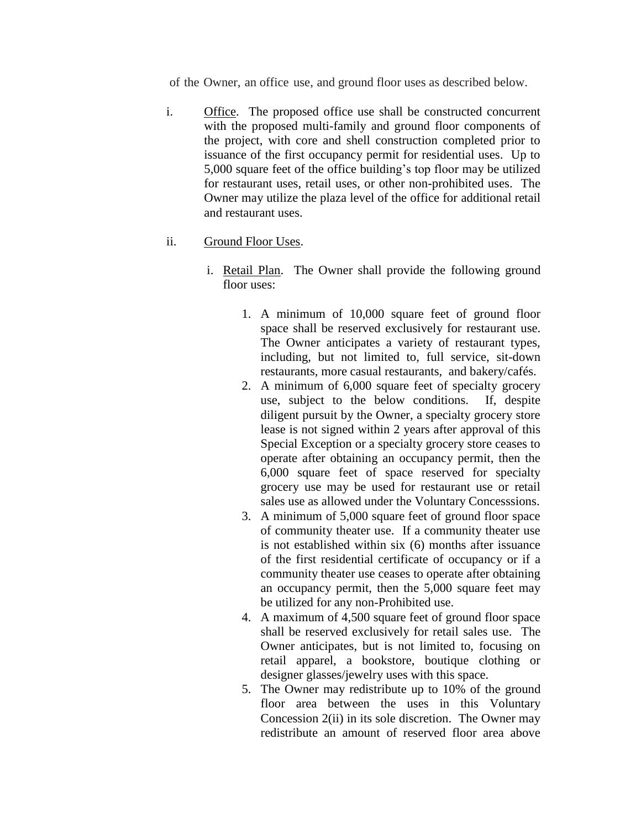of the Owner, an office use, and ground floor uses as described below.

i. Office. The proposed office use shall be constructed concurrent with the proposed multi-family and ground floor components of the project, with core and shell construction completed prior to issuance of the first occupancy permit for residential uses. Up to 5,000 square feet of the office building's top floor may be utilized for restaurant uses, retail uses, or other non-prohibited uses. The Owner may utilize the plaza level of the office for additional retail and restaurant uses.

## ii. Ground Floor Uses.

- i. Retail Plan. The Owner shall provide the following ground floor uses:
	- 1. A minimum of 10,000 square feet of ground floor space shall be reserved exclusively for restaurant use. The Owner anticipates a variety of restaurant types, including, but not limited to, full service, sit-down restaurants, more casual restaurants, and bakery/cafés.
	- 2. A minimum of 6,000 square feet of specialty grocery use, subject to the below conditions. If, despite diligent pursuit by the Owner, a specialty grocery store lease is not signed within 2 years after approval of this Special Exception or a specialty grocery store ceases to operate after obtaining an occupancy permit, then the 6,000 square feet of space reserved for specialty grocery use may be used for restaurant use or retail sales use as allowed under the Voluntary Concesssions.
	- 3. A minimum of 5,000 square feet of ground floor space of community theater use. If a community theater use is not established within six (6) months after issuance of the first residential certificate of occupancy or if a community theater use ceases to operate after obtaining an occupancy permit, then the 5,000 square feet may be utilized for any non-Prohibited use.
	- 4. A maximum of 4,500 square feet of ground floor space shall be reserved exclusively for retail sales use. The Owner anticipates, but is not limited to, focusing on retail apparel, a bookstore, boutique clothing or designer glasses/jewelry uses with this space.
	- 5. The Owner may redistribute up to 10% of the ground floor area between the uses in this Voluntary Concession 2(ii) in its sole discretion. The Owner may redistribute an amount of reserved floor area above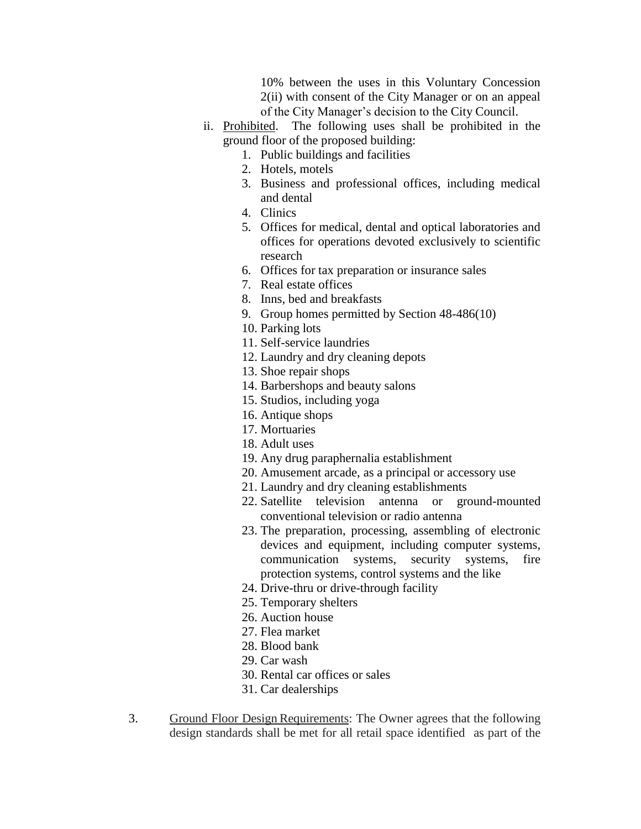10% between the uses in this Voluntary Concession 2(ii) with consent of the City Manager or on an appeal of the City Manager's decision to the City Council.

- ii. Prohibited. The following uses shall be prohibited in the ground floor of the proposed building:
	- 1. Public buildings and facilities
	- 2. Hotels, motels
	- 3. Business and professional offices, including medical and dental
	- 4. Clinics
	- 5. Offices for medical, dental and optical laboratories and offices for operations devoted exclusively to scientific research
	- 6. Offices for tax preparation or insurance sales
	- 7. Real estate offices
	- 8. Inns, bed and breakfasts
	- 9. Group homes permitted by Section 48-486(10)
	- 10. Parking lots
	- 11. Self-service laundries
	- 12. Laundry and dry cleaning depots
	- 13. Shoe repair shops
	- 14. Barbershops and beauty salons
	- 15. Studios, including yoga
	- 16. Antique shops
	- 17. Mortuaries
	- 18. Adult uses
	- 19. Any drug paraphernalia establishment
	- 20. Amusement arcade, as a principal or accessory use
	- 21. Laundry and dry cleaning establishments
	- 22. Satellite television antenna or ground-mounted conventional television or radio antenna
	- 23. The preparation, processing, assembling of electronic devices and equipment, including computer systems, communication systems, security systems, fire protection systems, control systems and the like
	- 24. Drive-thru or drive-through facility
	- 25. Temporary shelters
	- 26. Auction house
	- 27. Flea market
	- 28. Blood bank
	- 29. Car wash
	- 30. Rental car offices or sales
	- 31. Car dealerships
- 3. Ground Floor Design Requirements: The Owner agrees that the following design standards shall be met for all retail space identified as part of the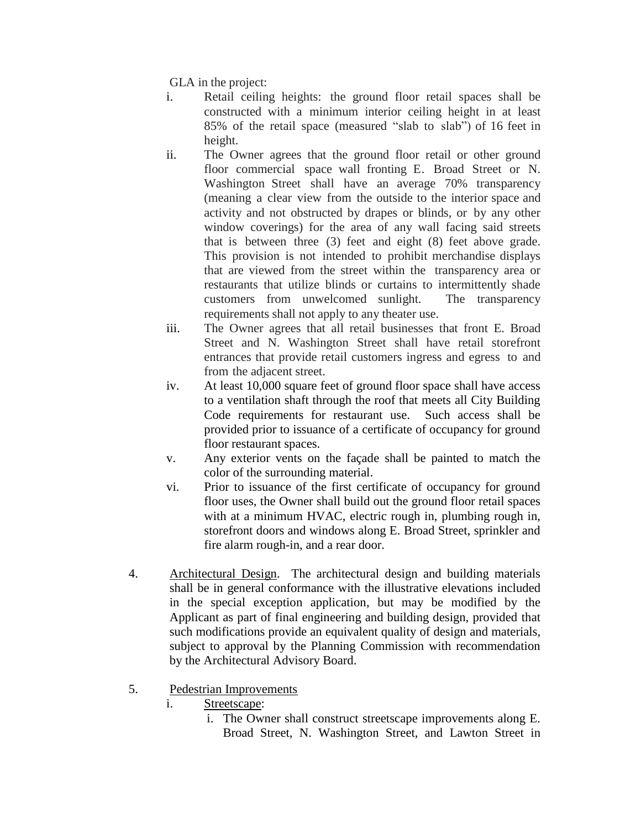GLA in the project:

- i. Retail ceiling heights: the ground floor retail spaces shall be constructed with a minimum interior ceiling height in at least 85% of the retail space (measured "slab to slab") of 16 feet in height.
- ii. The Owner agrees that the ground floor retail or other ground floor commercial space wall fronting E. Broad Street or N. Washington Street shall have an average 70% transparency (meaning a clear view from the outside to the interior space and activity and not obstructed by drapes or blinds, or by any other window coverings) for the area of any wall facing said streets that is between three (3) feet and eight (8) feet above grade. This provision is not intended to prohibit merchandise displays that are viewed from the street within the transparency area or restaurants that utilize blinds or curtains to intermittently shade customers from unwelcomed sunlight. The transparency requirements shall not apply to any theater use.
- iii. The Owner agrees that all retail businesses that front E. Broad Street and N. Washington Street shall have retail storefront entrances that provide retail customers ingress and egress to and from the adjacent street.
- iv. At least 10,000 square feet of ground floor space shall have access to a ventilation shaft through the roof that meets all City Building Code requirements for restaurant use. Such access shall be provided prior to issuance of a certificate of occupancy for ground floor restaurant spaces.
- v. Any exterior vents on the façade shall be painted to match the color of the surrounding material.
- vi. Prior to issuance of the first certificate of occupancy for ground floor uses, the Owner shall build out the ground floor retail spaces with at a minimum HVAC, electric rough in, plumbing rough in, storefront doors and windows along E. Broad Street, sprinkler and fire alarm rough-in, and a rear door.
- 4. Architectural Design. The architectural design and building materials shall be in general conformance with the illustrative elevations included in the special exception application, but may be modified by the Applicant as part of final engineering and building design, provided that such modifications provide an equivalent quality of design and materials, subject to approval by the Planning Commission with recommendation by the Architectural Advisory Board.
- 5. Pedestrian Improvements
	- i. Streetscape:
		- i. The Owner shall construct streetscape improvements along E. Broad Street, N. Washington Street, and Lawton Street in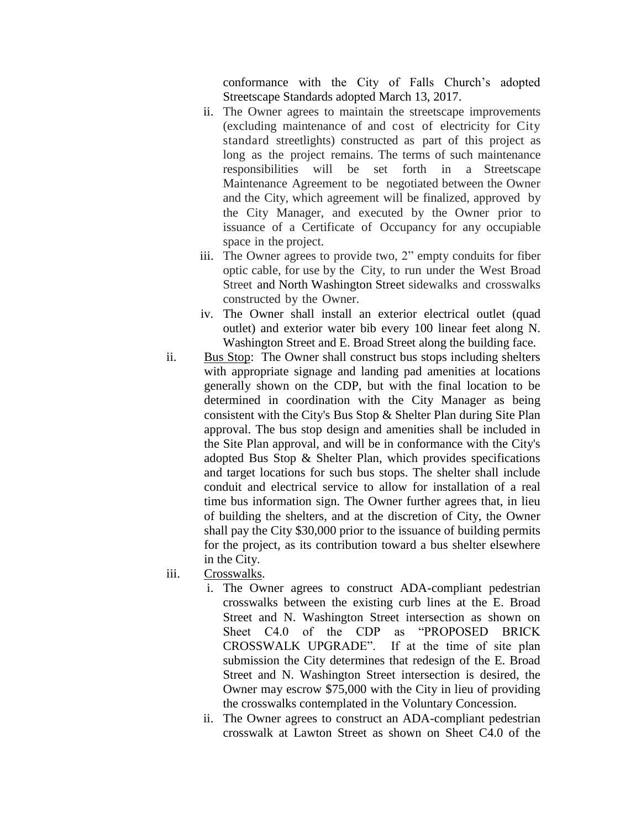conformance with the City of Falls Church's adopted Streetscape Standards adopted March 13, 2017.

- ii. The Owner agrees to maintain the streetscape improvements (excluding maintenance of and cost of electricity for City standard streetlights) constructed as part of this project as long as the project remains. The terms of such maintenance responsibilities will be set forth in a Streetscape Maintenance Agreement to be negotiated between the Owner and the City, which agreement will be finalized, approved by the City Manager, and executed by the Owner prior to issuance of a Certificate of Occupancy for any occupiable space in the project.
- iii. The Owner agrees to provide two, 2" empty conduits for fiber optic cable, for use by the City, to run under the West Broad Street and North Washington Street sidewalks and crosswalks constructed by the Owner.
- iv. The Owner shall install an exterior electrical outlet (quad outlet) and exterior water bib every 100 linear feet along N. Washington Street and E. Broad Street along the building face.
- ii. Bus Stop: The Owner shall construct bus stops including shelters with appropriate signage and landing pad amenities at locations generally shown on the CDP, but with the final location to be determined in coordination with the City Manager as being consistent with the City's Bus Stop & Shelter Plan during Site Plan approval. The bus stop design and amenities shall be included in the Site Plan approval, and will be in conformance with the City's adopted Bus Stop & Shelter Plan, which provides specifications and target locations for such bus stops. The shelter shall include conduit and electrical service to allow for installation of a real time bus information sign. The Owner further agrees that, in lieu of building the shelters, and at the discretion of City, the Owner shall pay the City \$30,000 prior to the issuance of building permits for the project, as its contribution toward a bus shelter elsewhere in the City.
- iii. Crosswalks.
	- i. The Owner agrees to construct ADA-compliant pedestrian crosswalks between the existing curb lines at the E. Broad Street and N. Washington Street intersection as shown on Sheet C4.0 of the CDP as "PROPOSED BRICK CROSSWALK UPGRADE". If at the time of site plan submission the City determines that redesign of the E. Broad Street and N. Washington Street intersection is desired, the Owner may escrow \$75,000 with the City in lieu of providing the crosswalks contemplated in the Voluntary Concession.
	- ii. The Owner agrees to construct an ADA-compliant pedestrian crosswalk at Lawton Street as shown on Sheet C4.0 of the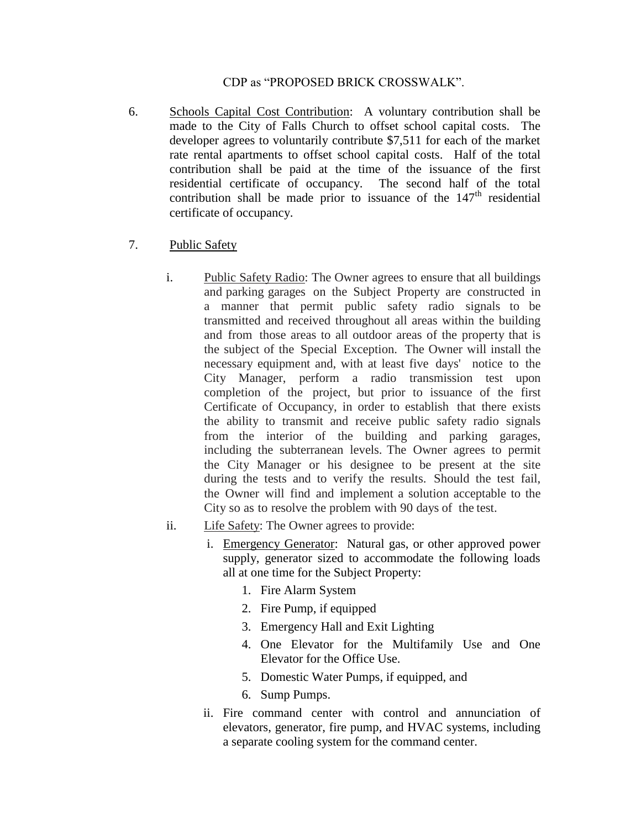### CDP as "PROPOSED BRICK CROSSWALK".

- 6. Schools Capital Cost Contribution: A voluntary contribution shall be made to the City of Falls Church to offset school capital costs. The developer agrees to voluntarily contribute \$7,511 for each of the market rate rental apartments to offset school capital costs. Half of the total contribution shall be paid at the time of the issuance of the first residential certificate of occupancy. The second half of the total contribution shall be made prior to issuance of the  $147<sup>th</sup>$  residential certificate of occupancy.
- 7. Public Safety
	- i. Public Safety Radio: The Owner agrees to ensure that all buildings and parking garages on the Subject Property are constructed in a manner that permit public safety radio signals to be transmitted and received throughout all areas within the building and from those areas to all outdoor areas of the property that is the subject of the Special Exception. The Owner will install the necessary equipment and, with at least five days' notice to the City Manager, perform a radio transmission test upon completion of the project, but prior to issuance of the first Certificate of Occupancy, in order to establish that there exists the ability to transmit and receive public safety radio signals from the interior of the building and parking garages, including the subterranean levels. The Owner agrees to permit the City Manager or his designee to be present at the site during the tests and to verify the results. Should the test fail, the Owner will find and implement a solution acceptable to the City so as to resolve the problem with 90 days of the test.
	- ii. Life Safety: The Owner agrees to provide:
		- i. Emergency Generator: Natural gas, or other approved power supply, generator sized to accommodate the following loads all at one time for the Subject Property:
			- 1. Fire Alarm System
			- 2. Fire Pump, if equipped
			- 3. Emergency Hall and Exit Lighting
			- 4. One Elevator for the Multifamily Use and One Elevator for the Office Use.
			- 5. Domestic Water Pumps, if equipped, and
			- 6. Sump Pumps.
		- ii. Fire command center with control and annunciation of elevators, generator, fire pump, and HVAC systems, including a separate cooling system for the command center.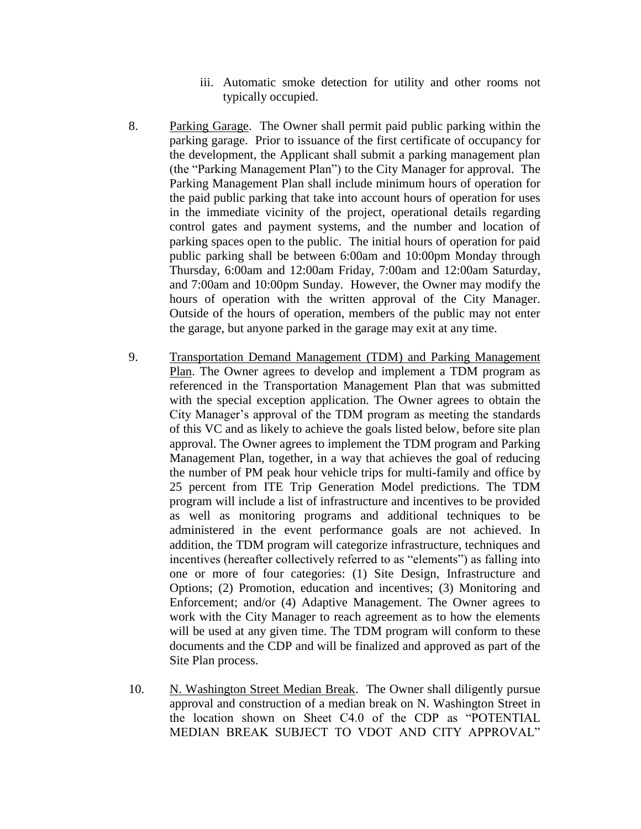- iii. Automatic smoke detection for utility and other rooms not typically occupied.
- 8. Parking Garage. The Owner shall permit paid public parking within the parking garage. Prior to issuance of the first certificate of occupancy for the development, the Applicant shall submit a parking management plan (the "Parking Management Plan") to the City Manager for approval. The Parking Management Plan shall include minimum hours of operation for the paid public parking that take into account hours of operation for uses in the immediate vicinity of the project, operational details regarding control gates and payment systems, and the number and location of parking spaces open to the public. The initial hours of operation for paid public parking shall be between 6:00am and 10:00pm Monday through Thursday, 6:00am and 12:00am Friday, 7:00am and 12:00am Saturday, and 7:00am and 10:00pm Sunday. However, the Owner may modify the hours of operation with the written approval of the City Manager. Outside of the hours of operation, members of the public may not enter the garage, but anyone parked in the garage may exit at any time.
- 9. Transportation Demand Management (TDM) and Parking Management Plan. The Owner agrees to develop and implement a TDM program as referenced in the Transportation Management Plan that was submitted with the special exception application. The Owner agrees to obtain the City Manager's approval of the TDM program as meeting the standards of this VC and as likely to achieve the goals listed below, before site plan approval. The Owner agrees to implement the TDM program and Parking Management Plan, together, in a way that achieves the goal of reducing the number of PM peak hour vehicle trips for multi-family and office by 25 percent from ITE Trip Generation Model predictions. The TDM program will include a list of infrastructure and incentives to be provided as well as monitoring programs and additional techniques to be administered in the event performance goals are not achieved. In addition, the TDM program will categorize infrastructure, techniques and incentives (hereafter collectively referred to as "elements") as falling into one or more of four categories: (1) Site Design, Infrastructure and Options; (2) Promotion, education and incentives; (3) Monitoring and Enforcement; and/or (4) Adaptive Management. The Owner agrees to work with the City Manager to reach agreement as to how the elements will be used at any given time. The TDM program will conform to these documents and the CDP and will be finalized and approved as part of the Site Plan process.
- 10. N. Washington Street Median Break. The Owner shall diligently pursue approval and construction of a median break on N. Washington Street in the location shown on Sheet C4.0 of the CDP as "POTENTIAL MEDIAN BREAK SUBJECT TO VDOT AND CITY APPROVAL"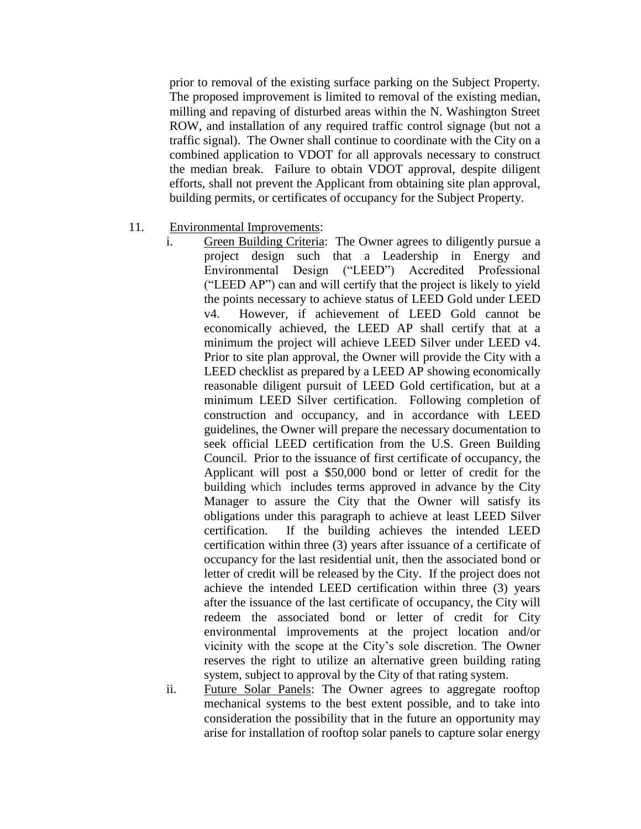prior to removal of the existing surface parking on the Subject Property. The proposed improvement is limited to removal of the existing median, milling and repaving of disturbed areas within the N. Washington Street ROW, and installation of any required traffic control signage (but not a traffic signal). The Owner shall continue to coordinate with the City on a combined application to VDOT for all approvals necessary to construct the median break. Failure to obtain VDOT approval, despite diligent efforts, shall not prevent the Applicant from obtaining site plan approval, building permits, or certificates of occupancy for the Subject Property.

- 11. Environmental Improvements:
	- i. Green Building Criteria: The Owner agrees to diligently pursue a project design such that a Leadership in Energy and Environmental Design ("LEED") Accredited Professional ("LEED AP") can and will certify that the project is likely to yield the points necessary to achieve status of LEED Gold under LEED v4. However, if achievement of LEED Gold cannot be economically achieved, the LEED AP shall certify that at a minimum the project will achieve LEED Silver under LEED v4. Prior to site plan approval, the Owner will provide the City with a LEED checklist as prepared by a LEED AP showing economically reasonable diligent pursuit of LEED Gold certification, but at a minimum LEED Silver certification. Following completion of construction and occupancy, and in accordance with LEED guidelines, the Owner will prepare the necessary documentation to seek official LEED certification from the U.S. Green Building Council. Prior to the issuance of first certificate of occupancy, the Applicant will post a \$50,000 bond or letter of credit for the building which includes terms approved in advance by the City Manager to assure the City that the Owner will satisfy its obligations under this paragraph to achieve at least LEED Silver certification. If the building achieves the intended LEED certification within three (3) years after issuance of a certificate of occupancy for the last residential unit, then the associated bond or letter of credit will be released by the City. If the project does not achieve the intended LEED certification within three (3) years after the issuance of the last certificate of occupancy, the City will redeem the associated bond or letter of credit for City environmental improvements at the project location and/or vicinity with the scope at the City's sole discretion. The Owner reserves the right to utilize an alternative green building rating system, subject to approval by the City of that rating system.
	- ii. Future Solar Panels: The Owner agrees to aggregate rooftop mechanical systems to the best extent possible, and to take into consideration the possibility that in the future an opportunity may arise for installation of rooftop solar panels to capture solar energy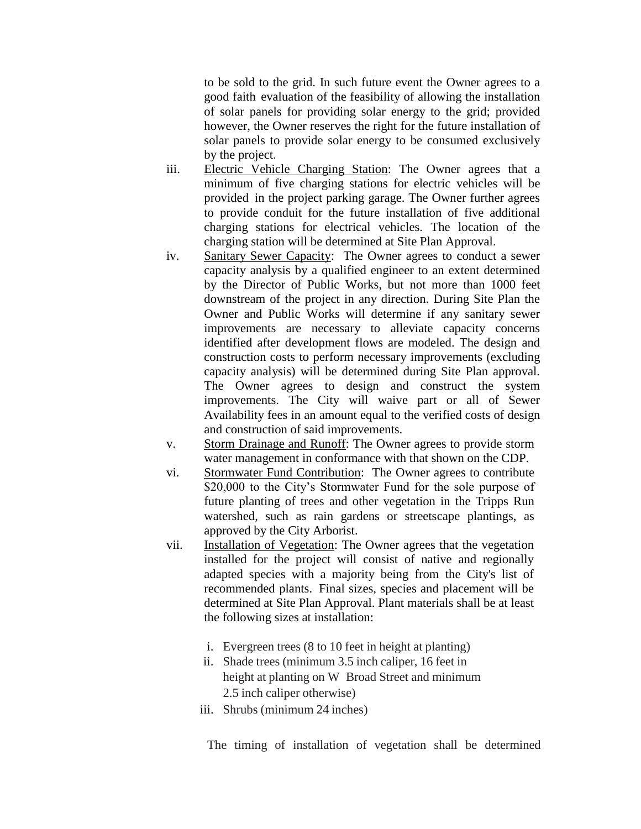to be sold to the grid. In such future event the Owner agrees to a good faith evaluation of the feasibility of allowing the installation of solar panels for providing solar energy to the grid; provided however, the Owner reserves the right for the future installation of solar panels to provide solar energy to be consumed exclusively by the project.

- iii. Electric Vehicle Charging Station: The Owner agrees that a minimum of five charging stations for electric vehicles will be provided in the project parking garage. The Owner further agrees to provide conduit for the future installation of five additional charging stations for electrical vehicles. The location of the charging station will be determined at Site Plan Approval.
- iv. Sanitary Sewer Capacity: The Owner agrees to conduct a sewer capacity analysis by a qualified engineer to an extent determined by the Director of Public Works, but not more than 1000 feet downstream of the project in any direction. During Site Plan the Owner and Public Works will determine if any sanitary sewer improvements are necessary to alleviate capacity concerns identified after development flows are modeled. The design and construction costs to perform necessary improvements (excluding capacity analysis) will be determined during Site Plan approval. The Owner agrees to design and construct the system improvements. The City will waive part or all of Sewer Availability fees in an amount equal to the verified costs of design and construction of said improvements.
- v. Storm Drainage and Runoff: The Owner agrees to provide storm water management in conformance with that shown on the CDP.
- vi. Stormwater Fund Contribution: The Owner agrees to contribute \$20,000 to the City's Stormwater Fund for the sole purpose of future planting of trees and other vegetation in the Tripps Run watershed, such as rain gardens or streetscape plantings, as approved by the City Arborist.
- vii. Installation of Vegetation: The Owner agrees that the vegetation installed for the project will consist of native and regionally adapted species with a majority being from the City's list of recommended plants. Final sizes, species and placement will be determined at Site Plan Approval. Plant materials shall be at least the following sizes at installation:
	- i. Evergreen trees (8 to 10 feet in height at planting)
	- ii. Shade trees (minimum 3.5 inch caliper, 16 feet in height at planting on W Broad Street and minimum 2.5 inch caliper otherwise)
	- iii. Shrubs (minimum 24 inches)

The timing of installation of vegetation shall be determined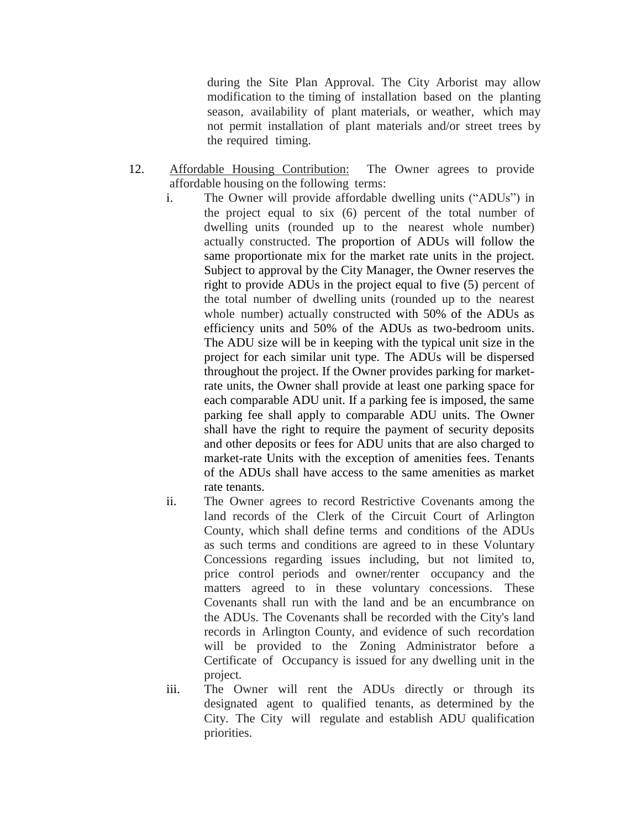during the Site Plan Approval. The City Arborist may allow modification to the timing of installation based on the planting season, availability of plant materials, or weather, which may not permit installation of plant materials and/or street trees by the required timing.

- 12. Affordable Housing Contribution: The Owner agrees to provide affordable housing on the following terms:
	- i. The Owner will provide affordable dwelling units ("ADUs") in the project equal to six (6) percent of the total number of dwelling units (rounded up to the nearest whole number) actually constructed. The proportion of ADUs will follow the same proportionate mix for the market rate units in the project. Subject to approval by the City Manager, the Owner reserves the right to provide ADUs in the project equal to five (5) percent of the total number of dwelling units (rounded up to the nearest whole number) actually constructed with 50% of the ADUs as efficiency units and 50% of the ADUs as two-bedroom units. The ADU size will be in keeping with the typical unit size in the project for each similar unit type. The ADUs will be dispersed throughout the project. If the Owner provides parking for marketrate units, the Owner shall provide at least one parking space for each comparable ADU unit. If a parking fee is imposed, the same parking fee shall apply to comparable ADU units. The Owner shall have the right to require the payment of security deposits and other deposits or fees for ADU units that are also charged to market-rate Units with the exception of amenities fees. Tenants of the ADUs shall have access to the same amenities as market rate tenants.
	- ii. The Owner agrees to record Restrictive Covenants among the land records of the Clerk of the Circuit Court of Arlington County, which shall define terms and conditions of the ADUs as such terms and conditions are agreed to in these Voluntary Concessions regarding issues including, but not limited to, price control periods and owner/renter occupancy and the matters agreed to in these voluntary concessions. These Covenants shall run with the land and be an encumbrance on the ADUs. The Covenants shall be recorded with the City's land records in Arlington County, and evidence of such recordation will be provided to the Zoning Administrator before a Certificate of Occupancy is issued for any dwelling unit in the project.
	- iii. The Owner will rent the ADUs directly or through its designated agent to qualified tenants, as determined by the City. The City will regulate and establish ADU qualification priorities.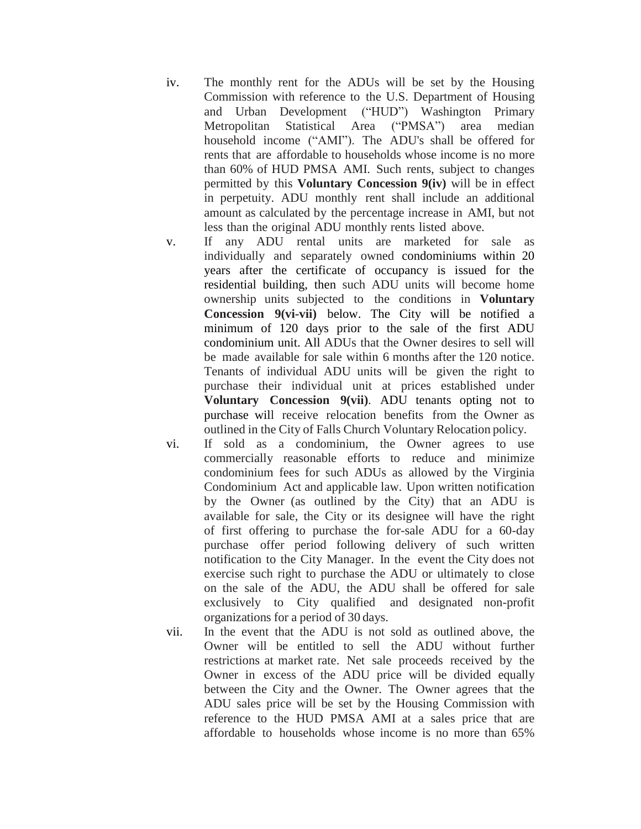- iv. The monthly rent for the ADUs will be set by the Housing Commission with reference to the U.S. Department of Housing and Urban Development ("HUD") Washington Primary Metropolitan Statistical Area ("PMSA") area median household income ("AMI"). The ADU's shall be offered for rents that are affordable to households whose income is no more than 60% of HUD PMSA AMI. Such rents, subject to changes permitted by this **Voluntary Concession 9(iv)** will be in effect in perpetuity. ADU monthly rent shall include an additional amount as calculated by the percentage increase in AMI, but not less than the original ADU monthly rents listed above.
- v. If any ADU rental units are marketed for sale as individually and separately owned condominiums within 20 years after the certificate of occupancy is issued for the residential building, then such ADU units will become home ownership units subjected to the conditions in **Voluntary Concession 9(vi-vii)** below. The City will be notified a minimum of 120 days prior to the sale of the first ADU condominium unit. All ADUs that the Owner desires to sell will be made available for sale within 6 months after the 120 notice. Tenants of individual ADU units will be given the right to purchase their individual unit at prices established under **Voluntary Concession 9(vii)**. ADU tenants opting not to purchase will receive relocation benefits from the Owner as outlined in the City of Falls Church Voluntary Relocation policy.
- vi. If sold as a condominium, the Owner agrees to use commercially reasonable efforts to reduce and minimize condominium fees for such ADUs as allowed by the Virginia Condominium Act and applicable law. Upon written notification by the Owner (as outlined by the City) that an ADU is available for sale, the City or its designee will have the right of first offering to purchase the for-sale ADU for a 60-day purchase offer period following delivery of such written notification to the City Manager. In the event the City does not exercise such right to purchase the ADU or ultimately to close on the sale of the ADU, the ADU shall be offered for sale exclusively to City qualified and designated non-profit organizations for a period of 30 days.
- vii. In the event that the ADU is not sold as outlined above, the Owner will be entitled to sell the ADU without further restrictions at market rate. Net sale proceeds received by the Owner in excess of the ADU price will be divided equally between the City and the Owner. The Owner agrees that the ADU sales price will be set by the Housing Commission with reference to the HUD PMSA AMI at a sales price that are affordable to households whose income is no more than 65%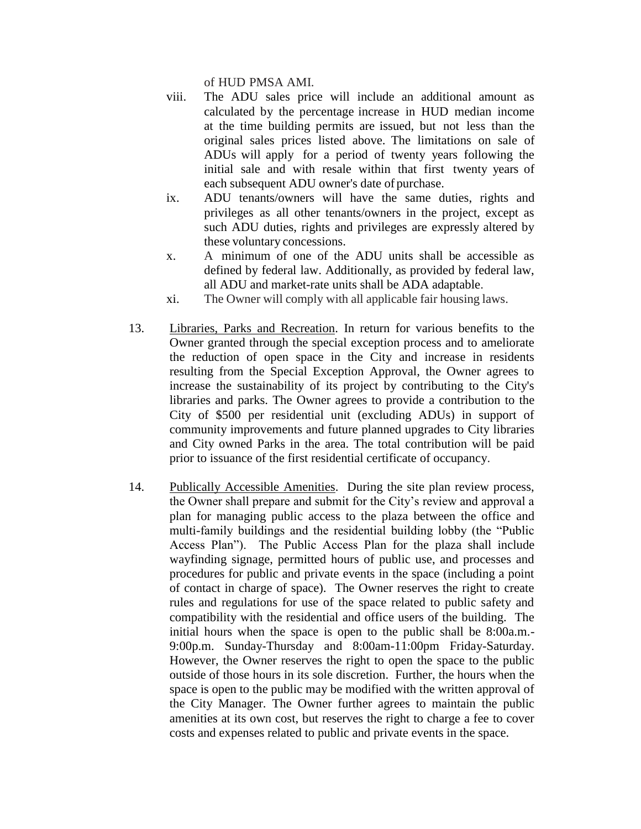of HUD PMSA AMI.

- viii. The ADU sales price will include an additional amount as calculated by the percentage increase in HUD median income at the time building permits are issued, but not less than the original sales prices listed above. The limitations on sale of ADUs will apply for a period of twenty years following the initial sale and with resale within that first twenty years of each subsequent ADU owner's date of purchase.
- ix. ADU tenants/owners will have the same duties, rights and privileges as all other tenants/owners in the project, except as such ADU duties, rights and privileges are expressly altered by these voluntary concessions.
- x. A minimum of one of the ADU units shall be accessible as defined by federal law. Additionally, as provided by federal law, all ADU and market-rate units shall be ADA adaptable.
- xi. The Owner will comply with all applicable fair housing laws.
- 13. Libraries, Parks and Recreation. In return for various benefits to the Owner granted through the special exception process and to ameliorate the reduction of open space in the City and increase in residents resulting from the Special Exception Approval, the Owner agrees to increase the sustainability of its project by contributing to the City's libraries and parks. The Owner agrees to provide a contribution to the City of \$500 per residential unit (excluding ADUs) in support of community improvements and future planned upgrades to City libraries and City owned Parks in the area. The total contribution will be paid prior to issuance of the first residential certificate of occupancy.
- 14. Publically Accessible Amenities. During the site plan review process, the Owner shall prepare and submit for the City's review and approval a plan for managing public access to the plaza between the office and multi-family buildings and the residential building lobby (the "Public Access Plan"). The Public Access Plan for the plaza shall include wayfinding signage, permitted hours of public use, and processes and procedures for public and private events in the space (including a point of contact in charge of space). The Owner reserves the right to create rules and regulations for use of the space related to public safety and compatibility with the residential and office users of the building. The initial hours when the space is open to the public shall be 8:00a.m.- 9:00p.m. Sunday-Thursday and 8:00am-11:00pm Friday-Saturday. However, the Owner reserves the right to open the space to the public outside of those hours in its sole discretion. Further, the hours when the space is open to the public may be modified with the written approval of the City Manager. The Owner further agrees to maintain the public amenities at its own cost, but reserves the right to charge a fee to cover costs and expenses related to public and private events in the space.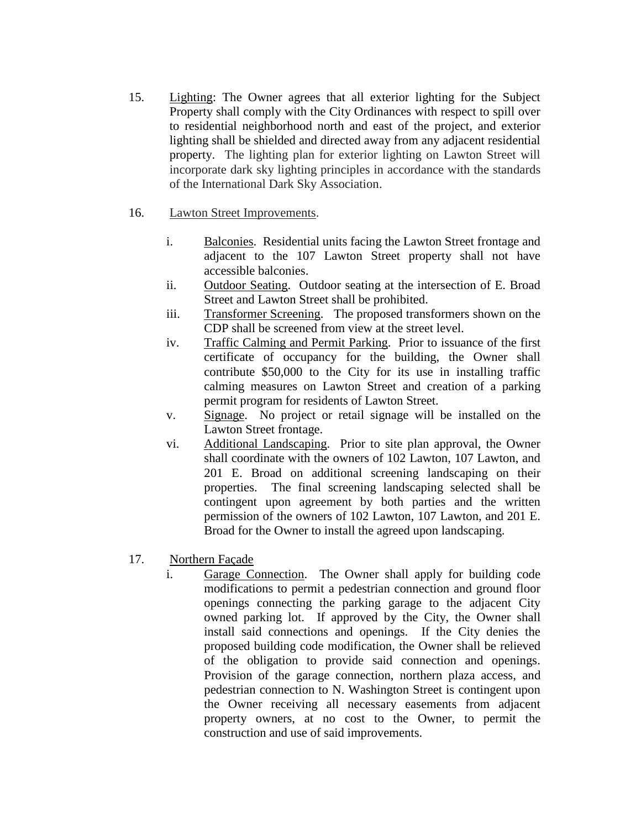- 15. Lighting: The Owner agrees that all exterior lighting for the Subject Property shall comply with the City Ordinances with respect to spill over to residential neighborhood north and east of the project, and exterior lighting shall be shielded and directed away from any adjacent residential property. The lighting plan for exterior lighting on Lawton Street will incorporate dark sky lighting principles in accordance with the standards of the International Dark Sky Association.
- 16. Lawton Street Improvements.
	- i. Balconies. Residential units facing the Lawton Street frontage and adjacent to the 107 Lawton Street property shall not have accessible balconies.
	- ii. Outdoor Seating. Outdoor seating at the intersection of E. Broad Street and Lawton Street shall be prohibited.
	- iii. Transformer Screening. The proposed transformers shown on the CDP shall be screened from view at the street level.
	- iv. Traffic Calming and Permit Parking. Prior to issuance of the first certificate of occupancy for the building, the Owner shall contribute \$50,000 to the City for its use in installing traffic calming measures on Lawton Street and creation of a parking permit program for residents of Lawton Street.
	- v. Signage. No project or retail signage will be installed on the Lawton Street frontage.
	- vi. Additional Landscaping. Prior to site plan approval, the Owner shall coordinate with the owners of 102 Lawton, 107 Lawton, and 201 E. Broad on additional screening landscaping on their properties. The final screening landscaping selected shall be contingent upon agreement by both parties and the written permission of the owners of 102 Lawton, 107 Lawton, and 201 E. Broad for the Owner to install the agreed upon landscaping.
- 17. Northern Façade
	- i. Garage Connection. The Owner shall apply for building code modifications to permit a pedestrian connection and ground floor openings connecting the parking garage to the adjacent City owned parking lot. If approved by the City, the Owner shall install said connections and openings. If the City denies the proposed building code modification, the Owner shall be relieved of the obligation to provide said connection and openings. Provision of the garage connection, northern plaza access, and pedestrian connection to N. Washington Street is contingent upon the Owner receiving all necessary easements from adjacent property owners, at no cost to the Owner, to permit the construction and use of said improvements.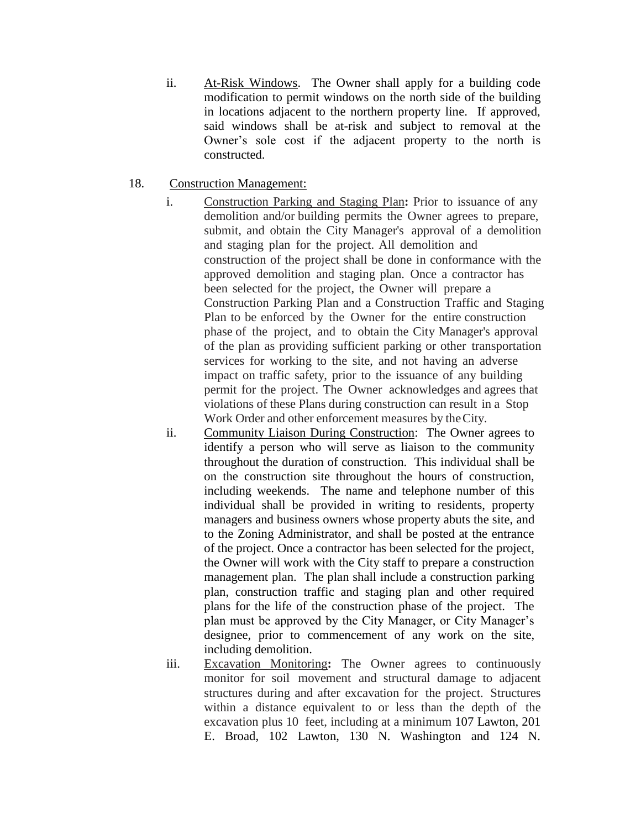ii. At-Risk Windows. The Owner shall apply for a building code modification to permit windows on the north side of the building in locations adjacent to the northern property line. If approved, said windows shall be at-risk and subject to removal at the Owner's sole cost if the adjacent property to the north is constructed.

## 18. Construction Management:

- i. Construction Parking and Staging Plan**:** Prior to issuance of any demolition and/or building permits the Owner agrees to prepare, submit, and obtain the City Manager's approval of a demolition and staging plan for the project. All demolition and construction of the project shall be done in conformance with the approved demolition and staging plan. Once a contractor has been selected for the project, the Owner will prepare a Construction Parking Plan and a Construction Traffic and Staging Plan to be enforced by the Owner for the entire construction phase of the project, and to obtain the City Manager's approval of the plan as providing sufficient parking or other transportation services for working to the site, and not having an adverse impact on traffic safety, prior to the issuance of any building permit for the project. The Owner acknowledges and agrees that violations of these Plans during construction can result in a Stop Work Order and other enforcement measures by theCity.
- ii. Community Liaison During Construction: The Owner agrees to identify a person who will serve as liaison to the community throughout the duration of construction. This individual shall be on the construction site throughout the hours of construction, including weekends. The name and telephone number of this individual shall be provided in writing to residents, property managers and business owners whose property abuts the site, and to the Zoning Administrator, and shall be posted at the entrance of the project. Once a contractor has been selected for the project, the Owner will work with the City staff to prepare a construction management plan. The plan shall include a construction parking plan, construction traffic and staging plan and other required plans for the life of the construction phase of the project. The plan must be approved by the City Manager, or City Manager's designee, prior to commencement of any work on the site, including demolition.
- iii. Excavation Monitoring**:** The Owner agrees to continuously monitor for soil movement and structural damage to adjacent structures during and after excavation for the project. Structures within a distance equivalent to or less than the depth of the excavation plus 10 feet, including at a minimum 107 Lawton, 201 E. Broad, 102 Lawton, 130 N. Washington and 124 N.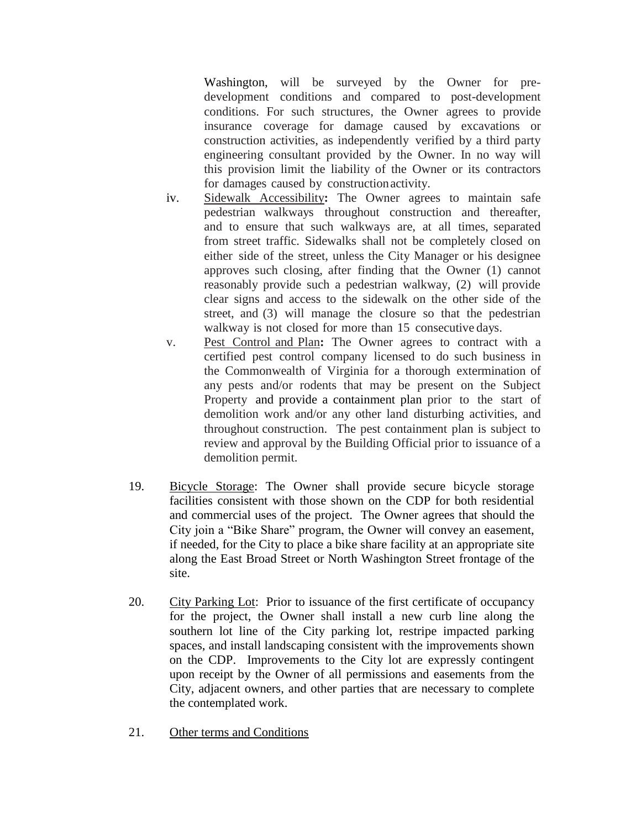Washington, will be surveyed by the Owner for predevelopment conditions and compared to post-development conditions. For such structures, the Owner agrees to provide insurance coverage for damage caused by excavations or construction activities, as independently verified by a third party engineering consultant provided by the Owner. In no way will this provision limit the liability of the Owner or its contractors for damages caused by constructionactivity.

- iv. Sidewalk Accessibility**:** The Owner agrees to maintain safe pedestrian walkways throughout construction and thereafter, and to ensure that such walkways are, at all times, separated from street traffic. Sidewalks shall not be completely closed on either side of the street, unless the City Manager or his designee approves such closing, after finding that the Owner (1) cannot reasonably provide such a pedestrian walkway, (2) will provide clear signs and access to the sidewalk on the other side of the street, and (3) will manage the closure so that the pedestrian walkway is not closed for more than 15 consecutive days.
- v. Pest Control and Plan**:** The Owner agrees to contract with a certified pest control company licensed to do such business in the Commonwealth of Virginia for a thorough extermination of any pests and/or rodents that may be present on the Subject Property and provide a containment plan prior to the start of demolition work and/or any other land disturbing activities, and throughout construction. The pest containment plan is subject to review and approval by the Building Official prior to issuance of a demolition permit.
- 19. Bicycle Storage: The Owner shall provide secure bicycle storage facilities consistent with those shown on the CDP for both residential and commercial uses of the project. The Owner agrees that should the City join a "Bike Share" program, the Owner will convey an easement, if needed, for the City to place a bike share facility at an appropriate site along the East Broad Street or North Washington Street frontage of the site.
- 20. City Parking Lot: Prior to issuance of the first certificate of occupancy for the project, the Owner shall install a new curb line along the southern lot line of the City parking lot, restripe impacted parking spaces, and install landscaping consistent with the improvements shown on the CDP. Improvements to the City lot are expressly contingent upon receipt by the Owner of all permissions and easements from the City, adjacent owners, and other parties that are necessary to complete the contemplated work.
- 21. Other terms and Conditions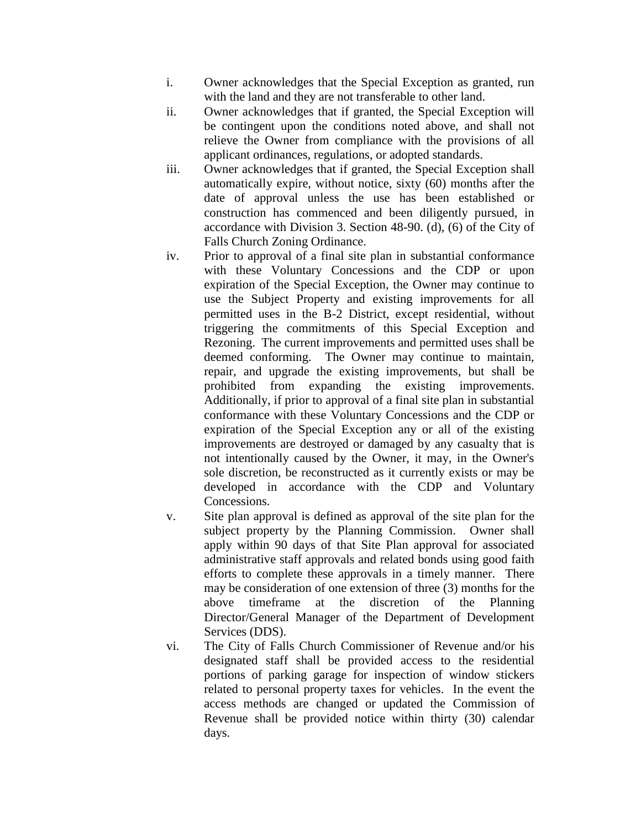- i. Owner acknowledges that the Special Exception as granted, run with the land and they are not transferable to other land.
- ii. Owner acknowledges that if granted, the Special Exception will be contingent upon the conditions noted above, and shall not relieve the Owner from compliance with the provisions of all applicant ordinances, regulations, or adopted standards.
- iii. Owner acknowledges that if granted, the Special Exception shall automatically expire, without notice, sixty (60) months after the date of approval unless the use has been established or construction has commenced and been diligently pursued, in accordance with Division 3. Section 48-90. (d), (6) of the City of Falls Church Zoning Ordinance.
- iv. Prior to approval of a final site plan in substantial conformance with these Voluntary Concessions and the CDP or upon expiration of the Special Exception, the Owner may continue to use the Subject Property and existing improvements for all permitted uses in the B-2 District, except residential, without triggering the commitments of this Special Exception and Rezoning. The current improvements and permitted uses shall be deemed conforming. The Owner may continue to maintain, repair, and upgrade the existing improvements, but shall be prohibited from expanding the existing improvements. Additionally, if prior to approval of a final site plan in substantial conformance with these Voluntary Concessions and the CDP or expiration of the Special Exception any or all of the existing improvements are destroyed or damaged by any casualty that is not intentionally caused by the Owner, it may, in the Owner's sole discretion, be reconstructed as it currently exists or may be developed in accordance with the CDP and Voluntary Concessions.
- v. Site plan approval is defined as approval of the site plan for the subject property by the Planning Commission. Owner shall apply within 90 days of that Site Plan approval for associated administrative staff approvals and related bonds using good faith efforts to complete these approvals in a timely manner. There may be consideration of one extension of three (3) months for the above timeframe at the discretion of the Planning Director/General Manager of the Department of Development Services (DDS).
- vi. The City of Falls Church Commissioner of Revenue and/or his designated staff shall be provided access to the residential portions of parking garage for inspection of window stickers related to personal property taxes for vehicles. In the event the access methods are changed or updated the Commission of Revenue shall be provided notice within thirty (30) calendar days.